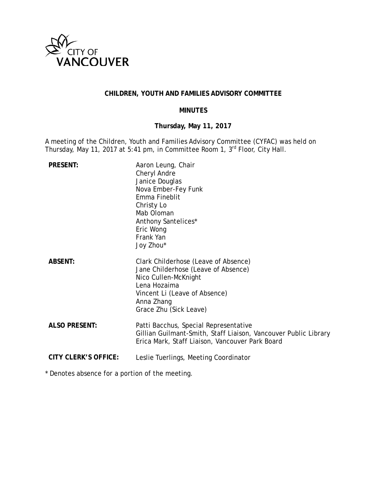

# **CHILDREN, YOUTH AND FAMILIES ADVISORY COMMITTEE**

### **MINUTES**

# **Thursday, May 11, 2017**

A meeting of the Children, Youth and Families Advisory Committee (CYFAC) was held on Thursday, May 11, 2017 at 5:41 pm, in Committee Room 1, 3<sup>rd</sup> Floor, City Hall.

| <b>PRESENT:</b>             | Aaron Leung, Chair<br>Cheryl Andre<br>Janice Douglas<br>Nova Ember-Fey Funk<br>Emma Fineblit<br>Christy Lo<br>Mab Oloman<br>Anthony Santelices*<br>Eric Wong<br>Frank Yan<br>Joy Zhou*       |
|-----------------------------|----------------------------------------------------------------------------------------------------------------------------------------------------------------------------------------------|
| <b>ABSENT:</b>              | Clark Childerhose (Leave of Absence)<br>Jane Childerhose (Leave of Absence)<br>Nico Cullen-McKnight<br>Lena Hozaima<br>Vincent Li (Leave of Absence)<br>Anna Zhang<br>Grace Zhu (Sick Leave) |
| <b>ALSO PRESENT:</b>        | Patti Bacchus, Special Representative<br>Gillian Guilmant-Smith, Staff Liaison, Vancouver Public Library<br>Erica Mark, Staff Liaison, Vancouver Park Board                                  |
| <b>CITY CLERK'S OFFICE:</b> | Leslie Tuerlings, Meeting Coordinator                                                                                                                                                        |

\* Denotes absence for a portion of the meeting.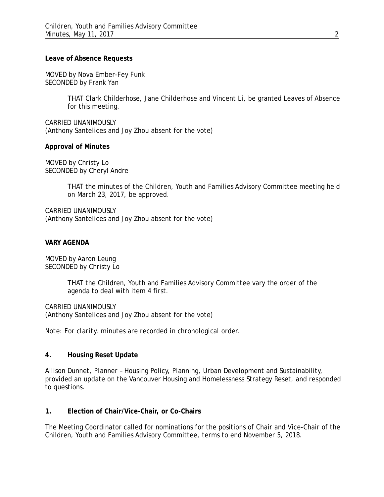### **Leave of Absence Requests**

MOVED by Nova Ember-Fey Funk SECONDED by Frank Yan

> THAT Clark Childerhose, Jane Childerhose and Vincent Li, be granted Leaves of Absence for this meeting.

CARRIED UNANIMOUSLY (Anthony Santelices and Joy Zhou absent for the vote)

### **Approval of Minutes**

MOVED by Christy Lo SECONDED by Cheryl Andre

> THAT the minutes of the Children, Youth and Families Advisory Committee meeting held on March 23, 2017, be approved.

CARRIED UNANIMOUSLY (Anthony Santelices and Joy Zhou absent for the vote)

### **VARY AGENDA**

MOVED by Aaron Leung SECONDED by Christy Lo

> THAT the Children, Youth and Families Advisory Committee vary the order of the agenda to deal with item 4 first.

CARRIED UNANIMOUSLY (Anthony Santelices and Joy Zhou absent for the vote)

*Note: For clarity, minutes are recorded in chronological order.*

# **4. Housing Reset Update**

Allison Dunnet, Planner – Housing Policy, Planning, Urban Development and Sustainability, provided an update on the Vancouver Housing and Homelessness Strategy Reset, and responded to questions.

### **1. Election of Chair/Vice-Chair, or Co-Chairs**

The Meeting Coordinator called for nominations for the positions of Chair and Vice-Chair of the Children, Youth and Families Advisory Committee, terms to end November 5, 2018.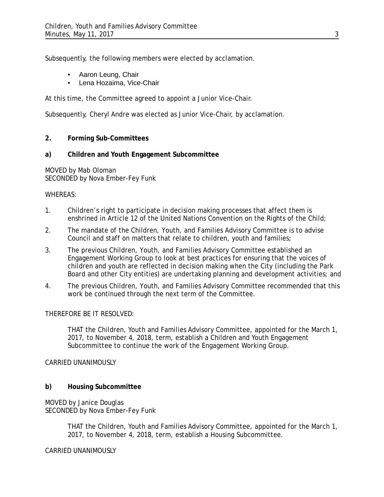Subsequently, the following members were elected by acclamation.

- Aaron Leung, Chair
- Lena Hozaima, Vice-Chair

At this time, the Committee agreed to appoint a Junior Vice-Chair.

Subsequently, Cheryl Andre was elected as Junior Vice-Chair, by acclamation.

# **2. Forming Sub-Committees**

# **a) Children and Youth Engagement Subcommittee**

MOVED by Mab Oloman SECONDED by Nova Ember-Fey Funk

### WHEREAS:

- 1. Children's right to participate in decision making processes that affect them is enshrined in Article 12 of the United Nations Convention on the Rights of the Child;
- 2. The mandate of the Children, Youth, and Families Advisory Committee is to advise Council and staff on matters that relate to children, youth and families;
- 3. The previous Children, Youth, and Families Advisory Committee established an Engagement Working Group to look at best practices for ensuring that the voices of children and youth are reflected in decision making when the City (including the Park Board and other City entities) are undertaking planning and development activities; and
- 4. The previous Children, Youth, and Families Advisory Committee recommended that this work be continued through the next term of the Committee.

# THEREFORE BE IT RESOLVED:

THAT the Children, Youth and Families Advisory Committee, appointed for the March 1, 2017, to November 4, 2018, term, establish a Children and Youth Engagement Subcommittee to continue the work of the Engagement Working Group.

### CARRIED UNANIMOUSLY

# **b) Housing Subcommittee**

MOVED by Janice Douglas SECONDED by Nova Ember-Fey Funk

> THAT the Children, Youth and Families Advisory Committee, appointed for the March 1, 2017, to November 4, 2018, term, establish a Housing Subcommittee.

CARRIED UNANIMOUSLY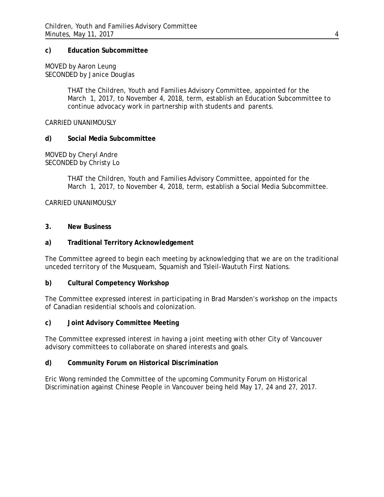### **c) Education Subcommittee**

MOVED by Aaron Leung SECONDED by Janice Douglas

> THAT the Children, Youth and Families Advisory Committee, appointed for the March 1, 2017, to November 4, 2018, term, establish an Education Subcommittee to continue advocacy work in partnership with students and parents.

CARRIED UNANIMOUSLY

#### **d) Social Media Subcommittee**

MOVED by Cheryl Andre SECONDED by Christy Lo

> THAT the Children, Youth and Families Advisory Committee, appointed for the March 1, 2017, to November 4, 2018, term, establish a Social Media Subcommittee.

CARRIED UNANIMOUSLY

#### **3. New Business**

### **a) Traditional Territory Acknowledgement**

The Committee agreed to begin each meeting by acknowledging that we are on the traditional unceded territory of the Musqueam, Squamish and Tsleil-Waututh First Nations.

#### **b) Cultural Competency Workshop**

The Committee expressed interest in participating in Brad Marsden's workshop on the impacts of Canadian residential schools and colonization.

#### **c) Joint Advisory Committee Meeting**

The Committee expressed interest in having a joint meeting with other City of Vancouver advisory committees to collaborate on shared interests and goals.

#### **d) Community Forum on Historical Discrimination**

Eric Wong reminded the Committee of the upcoming Community Forum on Historical Discrimination against Chinese People in Vancouver being held May 17, 24 and 27, 2017.